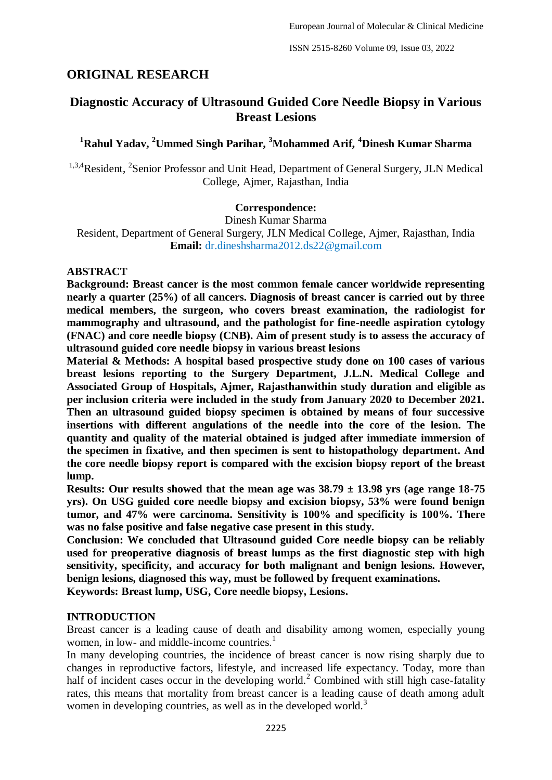# **ORIGINAL RESEARCH**

# **Diagnostic Accuracy of Ultrasound Guided Core Needle Biopsy in Various Breast Lesions**

# **<sup>1</sup>Rahul Yadav, <sup>2</sup>Ummed Singh Parihar, <sup>3</sup>Mohammed Arif, <sup>4</sup>Dinesh Kumar Sharma**

<sup>1,3,4</sup>Resident, <sup>2</sup>Senior Professor and Unit Head, Department of General Surgery, JLN Medical College, Ajmer, Rajasthan, India

#### **Correspondence:**

Dinesh Kumar Sharma

Resident, Department of General Surgery, JLN Medical College, Ajmer, Rajasthan, India **Email:** dr.dineshsharma2012.ds22@gmail.com

#### **ABSTRACT**

**Background: Breast cancer is the most common female cancer worldwide representing nearly a quarter (25%) of all cancers. Diagnosis of breast cancer is carried out by three medical members, the surgeon, who covers breast examination, the radiologist for mammography and ultrasound, and the pathologist for fine-needle aspiration cytology (FNAC) and core needle biopsy (CNB). Aim of present study is to assess the accuracy of ultrasound guided core needle biopsy in various breast lesions**

**Material & Methods: A hospital based prospective study done on 100 cases of various breast lesions reporting to the Surgery Department, J.L.N. Medical College and Associated Group of Hospitals, Ajmer, Rajasthanwithin study duration and eligible as per inclusion criteria were included in the study from January 2020 to December 2021. Then an ultrasound guided biopsy specimen is obtained by means of four successive insertions with different angulations of the needle into the core of the lesion. The quantity and quality of the material obtained is judged after immediate immersion of the specimen in fixative, and then specimen is sent to histopathology department. And the core needle biopsy report is compared with the excision biopsy report of the breast lump.** 

**Results: Our results showed that the mean age was 38.79 ± 13.98 yrs (age range 18-75 yrs). On USG guided core needle biopsy and excision biopsy, 53% were found benign tumor, and 47% were carcinoma. Sensitivity is 100% and specificity is 100%. There was no false positive and false negative case present in this study.**

**Conclusion: We concluded that Ultrasound guided Core needle biopsy can be reliably used for preoperative diagnosis of breast lumps as the first diagnostic step with high sensitivity, specificity, and accuracy for both malignant and benign lesions. However, benign lesions, diagnosed this way, must be followed by frequent examinations.** 

**Keywords: Breast lump, USG, Core needle biopsy, Lesions.**

#### **INTRODUCTION**

Breast cancer is a leading cause of death and disability among women, especially young women, in low- and middle-income countries.<sup>1</sup>

In many developing countries, the incidence of breast cancer is now rising sharply due to changes in reproductive factors, lifestyle, and increased life expectancy. Today, more than half of incident cases occur in the developing world.<sup>2</sup> Combined with still high case-fatality rates, this means that mortality from breast cancer is a leading cause of death among adult women in developing countries, as well as in the developed world.<sup>3</sup>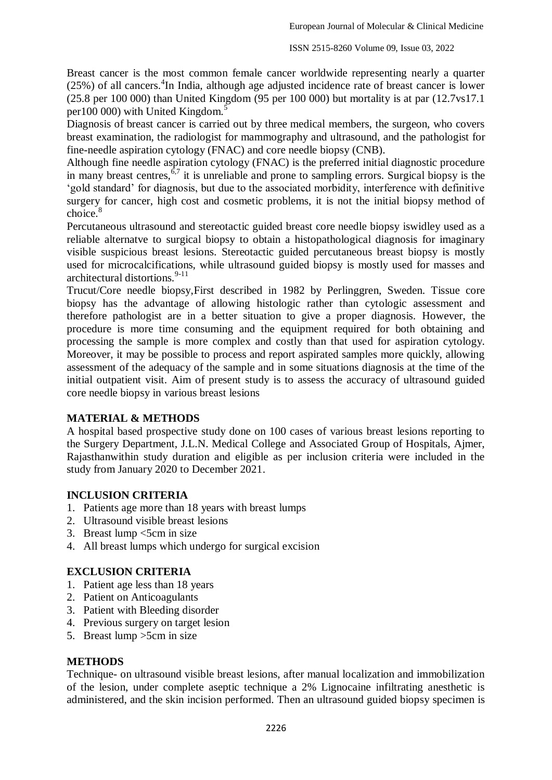Breast cancer is the most common female cancer worldwide representing nearly a quarter (25%) of all cancers.<sup>4</sup>In India, although age adjusted incidence rate of breast cancer is lower (25.8 per 100 000) than United Kingdom (95 per 100 000) but mortality is at par (12.7vs17.1 per100 000) with United Kingdom.<sup>5</sup>

Diagnosis of breast cancer is carried out by three medical members, the surgeon, who covers breast examination, the radiologist for mammography and ultrasound, and the pathologist for fine-needle aspiration cytology (FNAC) and core needle biopsy (CNB).

Although fine needle aspiration cytology (FNAC) is the preferred initial diagnostic procedure in many breast centres,  $6.7$  it is unreliable and prone to sampling errors. Surgical biopsy is the ‗gold standard' for diagnosis, but due to the associated morbidity, interference with definitive surgery for cancer, high cost and cosmetic problems, it is not the initial biopsy method of choice.<sup>8</sup>

Percutaneous ultrasound and stereotactic guided breast core needle biopsy iswidley used as a reliable alternatve to surgical biopsy to obtain a histopathological diagnosis for imaginary visible suspicious breast lesions. Stereotactic guided percutaneous breast biopsy is mostly used for microcalcifications, while ultrasound guided biopsy is mostly used for masses and architectural distortions. $9-11$ 

Trucut/Core needle biopsy,First described in 1982 by Perlinggren, Sweden. Tissue core biopsy has the advantage of allowing histologic rather than cytologic assessment and therefore pathologist are in a better situation to give a proper diagnosis. However, the procedure is more time consuming and the equipment required for both obtaining and processing the sample is more complex and costly than that used for aspiration cytology. Moreover, it may be possible to process and report aspirated samples more quickly, allowing assessment of the adequacy of the sample and in some situations diagnosis at the time of the initial outpatient visit. Aim of present study is to assess the accuracy of ultrasound guided core needle biopsy in various breast lesions

#### **MATERIAL & METHODS**

A hospital based prospective study done on 100 cases of various breast lesions reporting to the Surgery Department, J.L.N. Medical College and Associated Group of Hospitals, Ajmer, Rajasthanwithin study duration and eligible as per inclusion criteria were included in the study from January 2020 to December 2021.

# **INCLUSION CRITERIA**

- 1. Patients age more than 18 years with breast lumps
- 2. Ultrasound visible breast lesions
- 3. Breast lump <5cm in size
- 4. All breast lumps which undergo for surgical excision

# **EXCLUSION CRITERIA**

- 1. Patient age less than 18 years
- 2. Patient on Anticoagulants
- 3. Patient with Bleeding disorder
- 4. Previous surgery on target lesion
- 5. Breast lump >5cm in size

#### **METHODS**

Technique- on ultrasound visible breast lesions, after manual localization and immobilization of the lesion, under complete aseptic technique a 2% Lignocaine infiltrating anesthetic is administered, and the skin incision performed. Then an ultrasound guided biopsy specimen is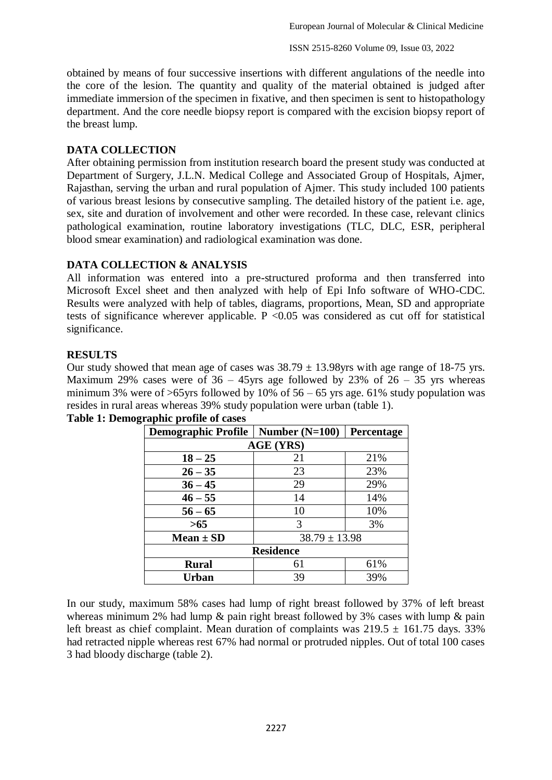obtained by means of four successive insertions with different angulations of the needle into the core of the lesion. The quantity and quality of the material obtained is judged after immediate immersion of the specimen in fixative, and then specimen is sent to histopathology department. And the core needle biopsy report is compared with the excision biopsy report of the breast lump.

#### **DATA COLLECTION**

After obtaining permission from institution research board the present study was conducted at Department of Surgery, J.L.N. Medical College and Associated Group of Hospitals, Ajmer, Rajasthan, serving the urban and rural population of Ajmer. This study included 100 patients of various breast lesions by consecutive sampling. The detailed history of the patient i.e. age, sex, site and duration of involvement and other were recorded. In these case, relevant clinics pathological examination, routine laboratory investigations (TLC, DLC, ESR, peripheral blood smear examination) and radiological examination was done.

## **DATA COLLECTION & ANALYSIS**

All information was entered into a pre-structured proforma and then transferred into Microsoft Excel sheet and then analyzed with help of Epi Info software of WHO-CDC. Results were analyzed with help of tables, diagrams, proportions, Mean, SD and appropriate tests of significance wherever applicable.  $P \le 0.05$  was considered as cut off for statistical significance.

## **RESULTS**

Our study showed that mean age of cases was  $38.79 \pm 13.98$ yrs with age range of 18-75 yrs. Maximum 29% cases were of  $36 - 45$ yrs age followed by 23% of  $26 - 35$  yrs whereas minimum 3% were of  $>65$ yrs followed by 10% of 56 – 65 yrs age. 61% study population was resides in rural areas whereas 39% study population were urban (table 1).

| <b>Demographic Profile</b> | Number $(N=100)$  | Percentage |  |  |  |  |
|----------------------------|-------------------|------------|--|--|--|--|
| <b>AGE (YRS)</b>           |                   |            |  |  |  |  |
| $18 - 25$                  | 21                | 21%        |  |  |  |  |
| $26 - 35$                  | 23                | 23%        |  |  |  |  |
| $36 - 45$                  | 29                | 29%        |  |  |  |  |
| $46 - 55$                  | 14                | 14%        |  |  |  |  |
| $56 - 65$                  | 10                | 10%        |  |  |  |  |
| $>65$                      | 3                 | 3%         |  |  |  |  |
| $Mean \pm SD$              | $38.79 \pm 13.98$ |            |  |  |  |  |
| <b>Residence</b>           |                   |            |  |  |  |  |
| <b>Rural</b>               | 61                | 61%        |  |  |  |  |
| Urban                      | 39                | 39%        |  |  |  |  |

# **Table 1: Demographic profile of cases**

In our study, maximum 58% cases had lump of right breast followed by 37% of left breast whereas minimum 2% had lump & pain right breast followed by 3% cases with lump & pain left breast as chief complaint. Mean duration of complaints was  $219.5 \pm 161.75$  days. 33% had retracted nipple whereas rest 67% had normal or protruded nipples. Out of total 100 cases 3 had bloody discharge (table 2).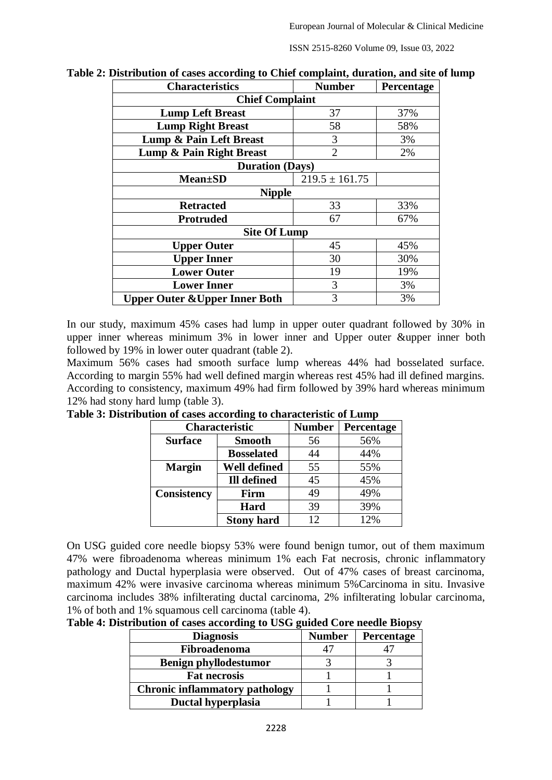ISSN 2515-8260 Volume 09, Issue 03, 2022

| <b>Characteristics</b>                    | <b>Number</b>      | Percentage |  |  |  |  |
|-------------------------------------------|--------------------|------------|--|--|--|--|
| <b>Chief Complaint</b>                    |                    |            |  |  |  |  |
| <b>Lump Left Breast</b>                   | 37                 | 37%        |  |  |  |  |
| <b>Lump Right Breast</b>                  | 58                 | 58%        |  |  |  |  |
| Lump & Pain Left Breast                   | 3                  | 3%         |  |  |  |  |
| Lump & Pain Right Breast                  | $\overline{2}$     | 2%         |  |  |  |  |
| <b>Duration (Days)</b>                    |                    |            |  |  |  |  |
| <b>Mean</b> ±SD                           | $219.5 \pm 161.75$ |            |  |  |  |  |
| <b>Nipple</b>                             |                    |            |  |  |  |  |
| 33<br>33%<br><b>Retracted</b>             |                    |            |  |  |  |  |
| <b>Protruded</b>                          | 67                 | 67%        |  |  |  |  |
| <b>Site Of Lump</b>                       |                    |            |  |  |  |  |
| <b>Upper Outer</b>                        | 45                 | 45%        |  |  |  |  |
| <b>Upper Inner</b>                        | 30                 | 30%        |  |  |  |  |
| <b>Lower Outer</b>                        | 19                 | 19%        |  |  |  |  |
| <b>Lower Inner</b>                        | 3                  | 3%         |  |  |  |  |
| <b>Upper Outer &amp; Upper Inner Both</b> | 3                  | 3%         |  |  |  |  |

| Table 2: Distribution of cases according to Chief complaint, duration, and site of lump |  |  |
|-----------------------------------------------------------------------------------------|--|--|
|                                                                                         |  |  |

In our study, maximum 45% cases had lump in upper outer quadrant followed by 30% in upper inner whereas minimum 3% in lower inner and Upper outer &upper inner both followed by 19% in lower outer quadrant (table 2).

Maximum 56% cases had smooth surface lump whereas 44% had bosselated surface. According to margin 55% had well defined margin whereas rest 45% had ill defined margins. According to consistency, maximum 49% had firm followed by 39% hard whereas minimum 12% had stony hard lump (table 3).

| Characteristic     |                    | <b>Number</b> | Percentage |
|--------------------|--------------------|---------------|------------|
| <b>Surface</b>     | <b>Smooth</b>      | 56            | 56%        |
|                    | <b>Bosselated</b>  | 44            | 44%        |
| <b>Margin</b>      | Well defined       | 55            | 55%        |
|                    | <b>Ill defined</b> | 45            | 45%        |
| <b>Consistency</b> | Firm               | 49            | 49%        |
|                    | <b>Hard</b>        | 39            | 39%        |
|                    | <b>Stony hard</b>  | 12            | 12%        |

**Table 3: Distribution of cases according to characteristic of Lump**

On USG guided core needle biopsy 53% were found benign tumor, out of them maximum 47% were fibroadenoma whereas minimum 1% each Fat necrosis, chronic inflammatory pathology and Ductal hyperplasia were observed. Out of 47% cases of breast carcinoma, maximum 42% were invasive carcinoma whereas minimum 5%Carcinoma in situ. Invasive carcinoma includes 38% infilterating ductal carcinoma, 2% infilterating lobular carcinoma, 1% of both and 1% squamous cell carcinoma (table 4).

**Table 4: Distribution of cases according to USG guided Core needle Biopsy**

| <b>Diagnosis</b>                      | <b>Number</b> | <b>Percentage</b> |
|---------------------------------------|---------------|-------------------|
| Fibroadenoma                          |               |                   |
| <b>Benign phyllodestumor</b>          |               |                   |
| <b>Fat necrosis</b>                   |               |                   |
| <b>Chronic inflammatory pathology</b> |               |                   |
| Ductal hyperplasia                    |               |                   |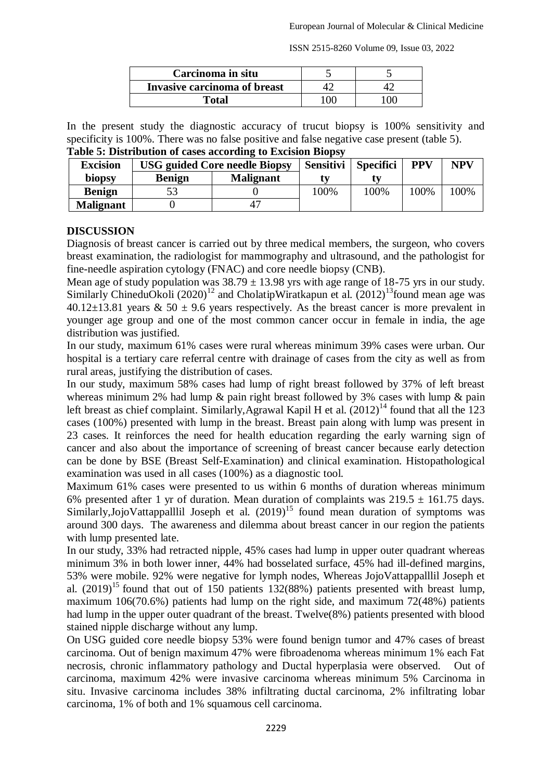ISSN 2515-8260 Volume 09, Issue 03, 2022

| Carcinoma in situ            |             |  |
|------------------------------|-------------|--|
| Invasive carcinoma of breast |             |  |
| Fotal                        | $^{\prime}$ |  |

In the present study the diagnostic accuracy of trucut biopsy is 100% sensitivity and specificity is 100%. There was no false positive and false negative case present (table 5).

| <b>Excision</b>  | <b>USG guided Core needle Biopsy</b> | <b>Sensitivi</b> | <b>Specifici</b> | <b>PPV</b> | <b>NPV</b> |      |
|------------------|--------------------------------------|------------------|------------------|------------|------------|------|
| biopsy           | <b>Benign</b>                        | <b>Malignant</b> | tv               |            |            |      |
| <b>Benign</b>    |                                      |                  | 00%              | 100%       | 100%       | 100% |
| <b>Malignant</b> |                                      |                  |                  |            |            |      |

| Table 5: Distribution of cases according to Excision Biopsy |  |  |  |
|-------------------------------------------------------------|--|--|--|
|                                                             |  |  |  |

#### **DISCUSSION**

Diagnosis of breast cancer is carried out by three medical members, the surgeon, who covers breast examination, the radiologist for mammography and ultrasound, and the pathologist for fine-needle aspiration cytology (FNAC) and core needle biopsy (CNB).

Mean age of study population was  $38.79 \pm 13.98$  yrs with age range of 18-75 yrs in our study. Similarly ChineduOkoli  $(2020)^{12}$  and CholatipWiratkapun et al.  $(2012)^{13}$ found mean age was  $40.12\pm13.81$  years & 50  $\pm$  9.6 years respectively. As the breast cancer is more prevalent in younger age group and one of the most common cancer occur in female in india, the age distribution was justified.

In our study, maximum 61% cases were rural whereas minimum 39% cases were urban. Our hospital is a tertiary care referral centre with drainage of cases from the city as well as from rural areas, justifying the distribution of cases.

In our study, maximum 58% cases had lump of right breast followed by 37% of left breast whereas minimum 2% had lump & pain right breast followed by 3% cases with lump & pain left breast as chief complaint. Similarly, Agrawal Kapil H et al.  $(2012)^{14}$  found that all the 123 cases (100%) presented with lump in the breast. Breast pain along with lump was present in 23 cases. It reinforces the need for health education regarding the early warning sign of cancer and also about the importance of screening of breast cancer because early detection can be done by BSE (Breast Self-Examination) and clinical examination. Histopathological examination was used in all cases (100%) as a diagnostic tool.

Maximum 61% cases were presented to us within 6 months of duration whereas minimum 6% presented after 1 yr of duration. Mean duration of complaints was  $219.5 \pm 161.75$  days. Similarly,JojoVattappalllil Joseph et al. (2019)<sup>15</sup> found mean duration of symptoms was around 300 days. The awareness and dilemma about breast cancer in our region the patients with lump presented late.

In our study, 33% had retracted nipple, 45% cases had lump in upper outer quadrant whereas minimum 3% in both lower inner, 44% had bosselated surface, 45% had ill-defined margins, 53% were mobile. 92% were negative for lymph nodes, Whereas JojoVattappalllil Joseph et al.  $(2019)^{15}$  found that out of 150 patients 132(88%) patients presented with breast lump, maximum 106(70.6%) patients had lump on the right side, and maximum 72(48%) patients had lump in the upper outer quadrant of the breast. Twelve(8%) patients presented with blood stained nipple discharge without any lump.

On USG guided core needle biopsy 53% were found benign tumor and 47% cases of breast carcinoma. Out of benign maximum 47% were fibroadenoma whereas minimum 1% each Fat necrosis, chronic inflammatory pathology and Ductal hyperplasia were observed. Out of carcinoma, maximum 42% were invasive carcinoma whereas minimum 5% Carcinoma in situ. Invasive carcinoma includes 38% infiltrating ductal carcinoma, 2% infiltrating lobar carcinoma, 1% of both and 1% squamous cell carcinoma.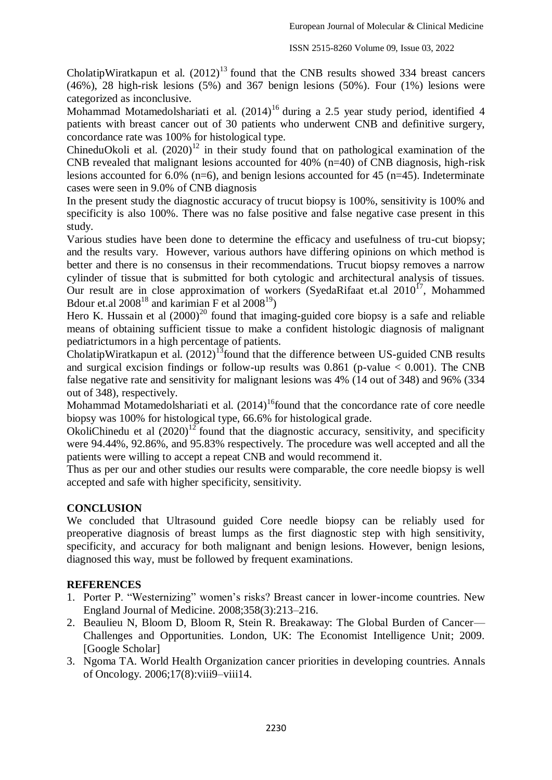CholatipWiratkapun et al.  $(2012)^{13}$  found that the CNB results showed 334 breast cancers (46%), 28 high-risk lesions (5%) and 367 benign lesions (50%). Four (1%) lesions were categorized as inconclusive.

Mohammad Motamedolshariati et al. (2014)<sup>16</sup> during a 2.5 year study period, identified 4 patients with breast cancer out of 30 patients who underwent CNB and definitive surgery, concordance rate was 100% for histological type.

ChineduOkoli et al.  $(2020)^{12}$  in their study found that on pathological examination of the CNB revealed that malignant lesions accounted for 40%  $(n=40)$  of CNB diagnosis, high-risk lesions accounted for 6.0% (n=6), and benign lesions accounted for 45 (n=45). Indeterminate cases were seen in 9.0% of CNB diagnosis

In the present study the diagnostic accuracy of trucut biopsy is 100%, sensitivity is 100% and specificity is also 100%. There was no false positive and false negative case present in this study.

Various studies have been done to determine the efficacy and usefulness of tru-cut biopsy; and the results vary. However, various authors have differing opinions on which method is better and there is no consensus in their recommendations. Trucut biopsy removes a narrow cylinder of tissue that is submitted for both cytologic and architectural analysis of tissues. Our result are in close approximation of workers (SyedaRifaat et.al  $2010^{17}$ , Mohammed Bdour et.al  $2008^{18}$  and karimian F et al  $2008^{19}$ )

Hero K. Hussain et al  $(2000)^{20}$  found that imaging-guided core biopsy is a safe and reliable means of obtaining sufficient tissue to make a confident histologic diagnosis of malignant pediatrictumors in a high percentage of patients.

CholatipWiratkapun et al.  $(2012)^{13}$  found that the difference between US-guided CNB results and surgical excision findings or follow-up results was  $0.861$  (p-value  $< 0.001$ ). The CNB false negative rate and sensitivity for malignant lesions was 4% (14 out of 348) and 96% (334 out of 348), respectively.

Mohammad Motamedolshariati et al.  $(2014)$ <sup>16</sup>found that the concordance rate of core needle biopsy was 100% for histological type, 66.6% for histological grade.

OkoliChinedu et al  $(2020)^{12}$  found that the diagnostic accuracy, sensitivity, and specificity were 94.44%, 92.86%, and 95.83% respectively. The procedure was well accepted and all the patients were willing to accept a repeat CNB and would recommend it.

Thus as per our and other studies our results were comparable, the core needle biopsy is well accepted and safe with higher specificity, sensitivity.

#### **CONCLUSION**

We concluded that Ultrasound guided Core needle biopsy can be reliably used for preoperative diagnosis of breast lumps as the first diagnostic step with high sensitivity, specificity, and accuracy for both malignant and benign lesions. However, benign lesions, diagnosed this way, must be followed by frequent examinations.

#### **REFERENCES**

- 1. Porter P. "Westernizing" women's risks? Breast cancer in lower-income countries. New England Journal of Medicine. 2008;358(3):213–216.
- 2. Beaulieu N, Bloom D, Bloom R, Stein R. Breakaway: The Global Burden of Cancer— Challenges and Opportunities. London, UK: The Economist Intelligence Unit; 2009. [Google Scholar]
- 3. Ngoma TA. World Health Organization cancer priorities in developing countries. Annals of Oncology. 2006;17(8):viii9–viii14.